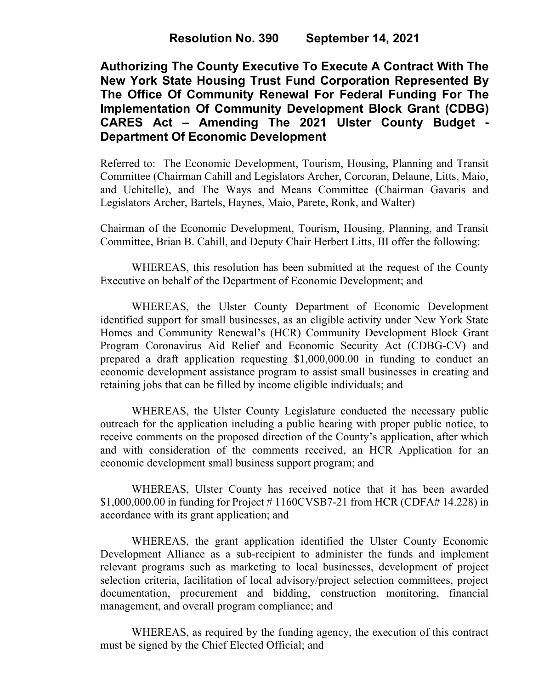**Authorizing The County Executive To Execute A Contract With The New York State Housing Trust Fund Corporation Represented By The Office Of Community Renewal For Federal Funding For The Implementation Of Community Development Block Grant (CDBG) CARES Act – Amending The 2021 Ulster County Budget - Department Of Economic Development**

Referred to: The Economic Development, Tourism, Housing, Planning and Transit Committee (Chairman Cahill and Legislators Archer, Corcoran, Delaune, Litts, Maio, and Uchitelle), and The Ways and Means Committee (Chairman Gavaris and Legislators Archer, Bartels, Haynes, Maio, Parete, Ronk, and Walter)

Chairman of the Economic Development, Tourism, Housing, Planning, and Transit Committee, Brian B. Cahill, and Deputy Chair Herbert Litts, III offer the following:

WHEREAS, this resolution has been submitted at the request of the County Executive on behalf of the Department of Economic Development; and

WHEREAS, the Ulster County Department of Economic Development identified support for small businesses, as an eligible activity under New York State Homes and Community Renewal's (HCR) Community Development Block Grant Program Coronavirus Aid Relief and Economic Security Act (CDBG-CV) and prepared a draft application requesting \$1,000,000.00 in funding to conduct an economic development assistance program to assist small businesses in creating and retaining jobs that can be filled by income eligible individuals; and

WHEREAS, the Ulster County Legislature conducted the necessary public outreach for the application including a public hearing with proper public notice, to receive comments on the proposed direction of the County's application, after which and with consideration of the comments received, an HCR Application for an economic development small business support program; and

WHEREAS, Ulster County has received notice that it has been awarded \$1,000,000.00 in funding for Project # 1160CVSB7-21 from HCR (CDFA# 14.228) in accordance with its grant application; and

WHEREAS, the grant application identified the Ulster County Economic Development Alliance as a sub-recipient to administer the funds and implement relevant programs such as marketing to local businesses, development of project selection criteria, facilitation of local advisory/project selection committees, project documentation, procurement and bidding, construction monitoring, financial management, and overall program compliance; and

WHEREAS, as required by the funding agency, the execution of this contract must be signed by the Chief Elected Official; and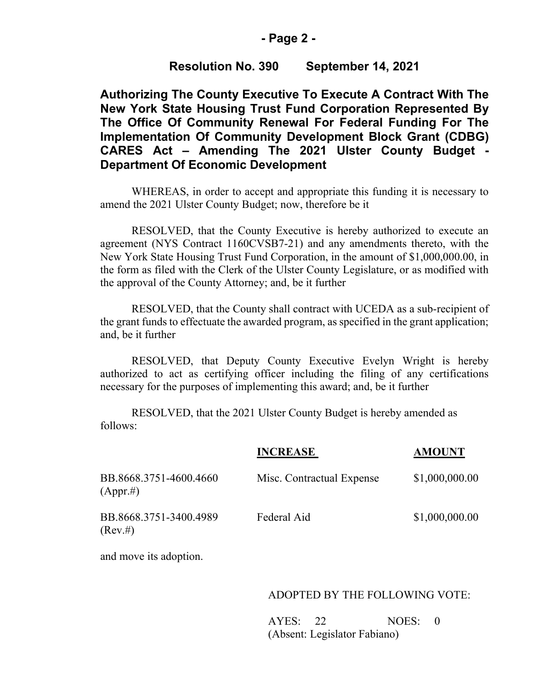# **- Page 2 -**

# **Resolution No. 390 September 14, 2021**

**Authorizing The County Executive To Execute A Contract With The New York State Housing Trust Fund Corporation Represented By The Office Of Community Renewal For Federal Funding For The Implementation Of Community Development Block Grant (CDBG) CARES Act – Amending The 2021 Ulster County Budget - Department Of Economic Development**

WHEREAS, in order to accept and appropriate this funding it is necessary to amend the 2021 Ulster County Budget; now, therefore be it

RESOLVED, that the County Executive is hereby authorized to execute an agreement (NYS Contract 1160CVSB7-21) and any amendments thereto, with the New York State Housing Trust Fund Corporation, in the amount of \$1,000,000.00, in the form as filed with the Clerk of the Ulster County Legislature, or as modified with the approval of the County Attorney; and, be it further

RESOLVED, that the County shall contract with UCEDA as a sub-recipient of the grant funds to effectuate the awarded program, as specified in the grant application; and, be it further

RESOLVED, that Deputy County Executive Evelyn Wright is hereby authorized to act as certifying officer including the filing of any certifications necessary for the purposes of implementing this award; and, be it further

RESOLVED, that the 2021 Ulster County Budget is hereby amended as follows:

|                                       | <b>INCREASE</b>           | <b>AMOUNT</b>  |
|---------------------------------------|---------------------------|----------------|
| BB.8668.3751-4600.4660<br>(Appr.#)    | Misc. Contractual Expense | \$1,000,000.00 |
| BB.8668.3751-3400.4989<br>$(Rev. \#)$ | Federal Aid               | \$1,000,000.00 |

and move its adoption.

#### ADOPTED BY THE FOLLOWING VOTE:

 AYES: 22 NOES: 0 (Absent: Legislator Fabiano)